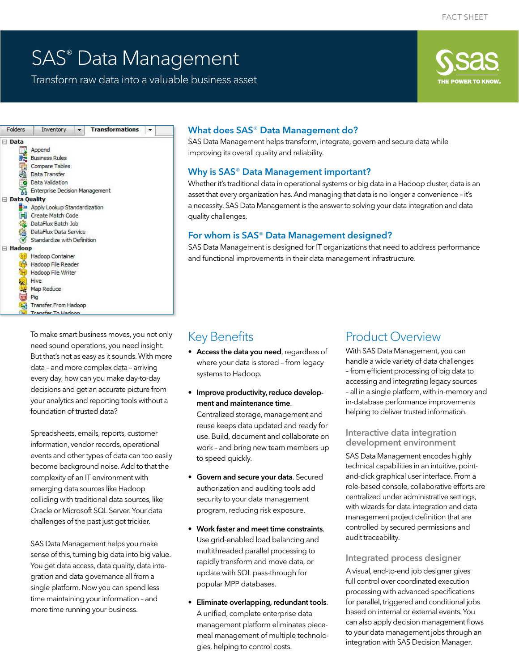# SAS® Data Management

Transform raw data into a valuable business asset



To make smart business moves, you not only need sound operations, you need insight. But that's not as easy as it sounds. With more data – and more complex data – arriving every day, how can you make day-to-day decisions and get an accurate picture from your analytics and reporting tools without a foundation of trusted data?

Spreadsheets, emails, reports, customer information, vendor records, operational events and other types of data can too easily become background noise. Add to that the complexity of an IT environment with emerging data sources like Hadoop colliding with traditional data sources, like Oracle or Microsoft SQL Server. Your data challenges of the past just got trickier.

SAS Data Management helps you make sense of this, turning big data into big value. You get data access, data quality, data integration and data governance all from a single platform. Now you can spend less time maintaining your information – and more time running your business.

### What does SAS® Data Management do?

SAS Data Management helps transform, integrate, govern and secure data while improving its overall quality and reliability.

#### Why is SAS® Data Management important?

Whether it's traditional data in operational systems or big data in a Hadoop cluster, data is an asset that every organization has. And managing that data is no longer a convenience – it's a necessity. SAS Data Management is the answer to solving your data integration and data quality challenges.

#### For whom is SAS® Data Management designed?

SAS Data Management is designed for IT organizations that need to address performance and functional improvements in their data management infrastructure.

## Key Benefits

- Access the data you need, regardless of where your data is stored – from legacy systems to Hadoop.
- Improve productivity, reduce development and maintenance time. Centralized storage, management and reuse keeps data updated and ready for use. Build, document and collaborate on work – and bring new team members up to speed quickly.
- Govern and secure your data. Secured authorization and auditing tools add security to your data management program, reducing risk exposure.
- Work faster and meet time constraints. Use grid-enabled load balancing and multithreaded parallel processing to rapidly transform and move data, or update with SQL pass-through for popular MPP databases.
- Eliminate overlapping, redundant tools. A unified, complete enterprise data management platform eliminates piecemeal management of multiple technologies, helping to control costs.

## Product Overview

With SAS Data Management, you can handle a wide variety of data challenges - from efficient processing of big data to accessing and integrating legacy sources – all in a single platform, with in-memory and in-database performance improvements helping to deliver trusted information.

#### Interactive data integration development environment

SAS Data Management encodes highly technical capabilities in an intuitive, pointand-click graphical user interface. From a role-based console, collaborative efforts are centralized under administrative settings, with wizards for data integration and data management project definition that are controlled by secured permissions and audit traceability.

#### Integrated process designer

A visual, end-to-end job designer gives full control over coordinated execution processing with advanced specifications for parallel, triggered and conditional jobs based on internal or external events. You can also apply decision management lows to your data management jobs through an integration with SAS Decision Manager.

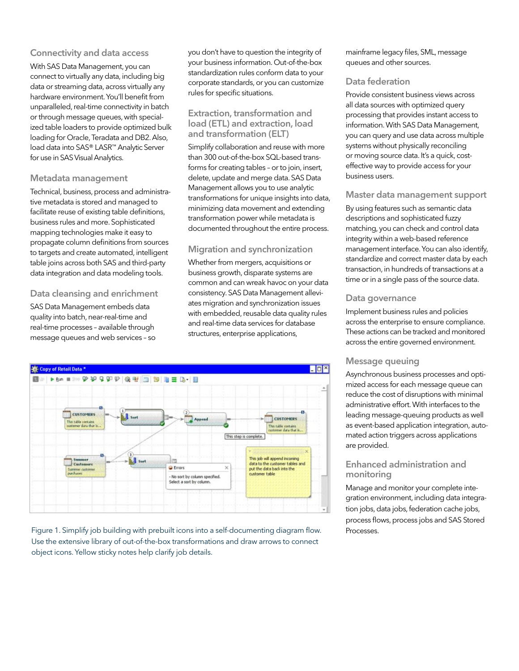#### Connectivity and data access

With SAS Data Management, you can connect to virtually any data, including big data or streaming data, across virtually any hardware environment. You'll benefit from unparalleled, real-time connectivity in batch or through message queues, with specialized table loaders to provide optimized bulk loading for Oracle, Teradata and DB2. Also, load data into SAS® LASR™ Analytic Server for use in SAS Visual Analytics.

#### Metadata management

Technical, business, process and administrative metadata is stored and managed to facilitate reuse of existing table definitions, business rules and more. Sophisticated mapping technologies make it easy to propagate column definitions from sources to targets and create automated, intelligent table joins across both SAS and third-party data integration and data modeling tools.

### Data cleansing and enrichment

SAS Data Management embeds data quality into batch, near-real-time and real-time processes – available through message queues and web services – so you don't have to question the integrity of your business information. Out-of-the-box standardization rules conform data to your corporate standards, or you can customize rules for specific situations.

#### Extraction, transformation and load (ETL) and extraction, load and transformation (ELT)

Simplify collaboration and reuse with more than 300 out-of-the-box SQL-based transforms for creating tables – or to join, insert, delete, update and merge data. SAS Data Management allows you to use analytic transformations for unique insights into data, minimizing data movement and extending transformation power while metadata is documented throughout the entire process.

### Migration and synchronization

Whether from mergers, acquisitions or business growth, disparate systems are common and can wreak havoc on your data consistency. SAS Data Management alleviates migration and synchronization issues with embedded, reusable data quality rules and real-time data services for database structures, enterprise applications,



Figure 1. Simplify job building with prebuilt icons into a self-documenting diagram flow. Processes. Use the extensive library of out-of-the-box transformations and draw arrows to connect object icons. Yellow sticky notes help clarify job details.

mainframe legacy files, SML, message queues and other sources.

#### Data federation

Provide consistent business views across all data sources with optimized query processing that provides instant access to information. With SAS Data Management, you can query and use data across multiple systems without physically reconciling or moving source data. It's a quick, costefective way to provide access for your business users.

#### Master data management support

By using features such as semantic data descriptions and sophisticated fuzzy matching, you can check and control data integrity within a web-based reference management interface. You can also identify, standardize and correct master data by each transaction, in hundreds of transactions at a time or in a single pass of the source data.

#### Data governance

Implement business rules and policies across the enterprise to ensure compliance. These actions can be tracked and monitored across the entire governed environment.

#### Message queuing

Asynchronous business processes and optimized access for each message queue can reduce the cost of disruptions with minimal administrative effort. With interfaces to the leading message-queuing products as well as event-based application integration, automated action triggers across applications are provided.

#### Enhanced administration and monitoring

Manage and monitor your complete integration environment, including data integration jobs, data jobs, federation cache jobs, process lows, process jobs and SAS Stored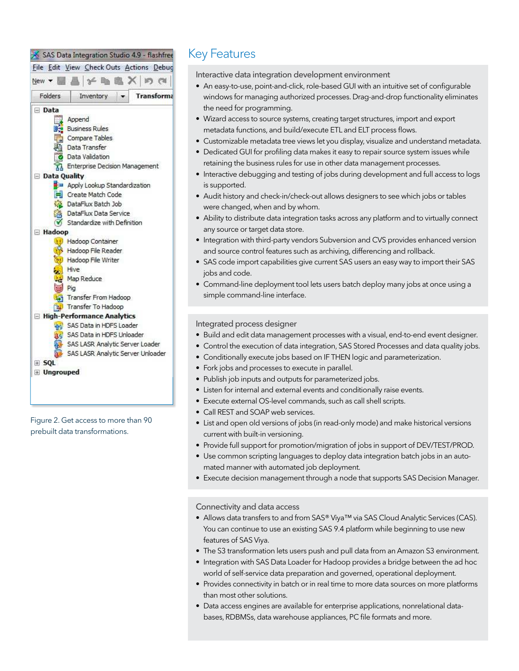

Figure 2. Get access to more than 90 prebuilt data transformations.

## Key Features

Interactive data integration development environment

- An easy-to-use, point-and-click, role-based GUI with an intuitive set of configurable windows for managing authorized processes. Drag-and-drop functionality eliminates the need for programming.
- Wizard access to source systems, creating target structures, import and export metadata functions, and build/execute ETL and ELT process lows.
- Customizable metadata tree views let you display, visualize and understand metadata.
- Dedicated GUI for profiling data makes it easy to repair source system issues while retaining the business rules for use in other data management processes.
- Interactive debugging and testing of jobs during development and full access to logs is supported.
- Audit history and check-in/check-out allows designers to see which jobs or tables were changed, when and by whom.
- Ability to distribute data integration tasks across any platform and to virtually connect any source or target data store.
- Integration with third-party vendors Subversion and CVS provides enhanced version and source control features such as archiving, diferencing and rollback.
- SAS code import capabilities give current SAS users an easy way to import their SAS jobs and code.
- Command-line deployment tool lets users batch deploy many jobs at once using a simple command-line interface.

#### Integrated process designer

- Build and edit data management processes with a visual, end-to-end event designer.
- Control the execution of data integration, SAS Stored Processes and data quality jobs.
- Conditionally execute jobs based on IF THEN logic and parameterization.
- Fork jobs and processes to execute in parallel.
- Publish job inputs and outputs for parameterized jobs.
- Listen for internal and external events and conditionally raise events.
- Execute external OS-level commands, such as call shell scripts.
- Call REST and SOAP web services.
- List and open old versions of jobs (in read-only mode) and make historical versions current with built-in versioning.
- Provide full support for promotion/migration of jobs in support of DEV/TEST/PROD.
- Use common scripting languages to deploy data integration batch jobs in an automated manner with automated job deployment.
- Execute decision management through a node that supports SAS Decision Manager.

Connectivity and data access

- Allows data transfers to and from SAS® Viya™ via SAS Cloud Analytic Services (CAS). You can continue to use an existing SAS 9.4 platform while beginning to use new features of SAS Viya.
- The S3 transformation lets users push and pull data from an Amazon S3 environment.
- Integration with SAS Data Loader for Hadoop provides a bridge between the ad hoc world of self-service data preparation and governed, operational deployment.
- Provides connectivity in batch or in real time to more data sources on more platforms than most other solutions.
- Data access engines are available for enterprise applications, nonrelational databases, RDBMSs, data warehouse appliances, PC ile formats and more.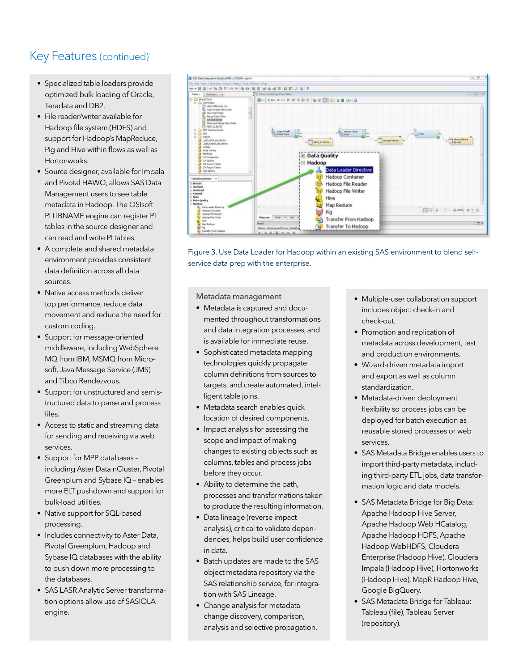- Specialized table loaders provide optimized bulk loading of Oracle, Teradata and DB2.
- File reader/writer available for Hadoop file system (HDFS) and support for Hadoop's MapReduce, Pig and Hive within flows as well as Hortonworks.
- Source designer, available for Impala and Pivotal HAWQ, allows SAS Data Management users to see table metadata in Hadoop. The OSIsoft PI LIBNAME engine can register PI tables in the source designer and can read and write PI tables.
- A complete and shared metadata environment provides consistent data definition across all data sources.
- Native access methods deliver top performance, reduce data movement and reduce the need for custom coding.
- Support for message-oriented middleware, including WebSphere MQ from IBM, MSMQ from Microsoft, Java Message Service (JMS) and Tibco Rendezvous.
- Support for unstructured and semistructured data to parse and process files.
- Access to static and streaming data for sending and receiving via web services.
- Support for MPP databases including Aster Data nCluster, Pivotal Greenplum and Sybase IQ – enables more ELT pushdown and support for bulk-load utilities.
- Native support for SQL-based processing.
- Includes connectivity to Aster Data, Pivotal Greenplum, Hadoop and Sybase IQ databases with the ability to push down more processing to the databases.
- SAS LASR Analytic Server transformation options allow use of SASIOLA engine.



Figure 3. Use Data Loader for Hadoop within an existing SAS environment to blend selfservice data prep with the enterprise.

Metadata management

- Metadata is captured and documented throughout transformations and data integration processes, and is available for immediate reuse.
- Sophisticated metadata mapping technologies quickly propagate column definitions from sources to targets, and create automated, intelligent table joins.
- Metadata search enables quick location of desired components.
- Impact analysis for assessing the scope and impact of making changes to existing objects such as columns, tables and process jobs before they occur.
- Ability to determine the path, processes and transformations taken to produce the resulting information.
- Data lineage (reverse impact analysis), critical to validate dependencies, helps build user confidence in data.
- Batch updates are made to the SAS object metadata repository via the SAS relationship service, for integration with SAS Lineage.
- Change analysis for metadata change discovery, comparison, analysis and selective propagation.
- Multiple-user collaboration support includes object check-in and check-out.
- Promotion and replication of metadata across development, test and production environments.
- Wizard-driven metadata import and export as well as column standardization.
- Metadata-driven deployment flexibility so process jobs can be deployed for batch execution as reusable stored processes or web services.
- SAS Metadata Bridge enables users to import third-party metadata, including third-party ETL jobs, data transformation logic and data models.
- SAS Metadata Bridge for Big Data: Apache Hadoop Hive Server, Apache Hadoop Web HCatalog, Apache Hadoop HDFS, Apache Hadoop WebHDFS, Cloudera Enterprise (Hadoop Hive), Cloudera Impala (Hadoop Hive), Hortonworks (Hadoop Hive), MapR Hadoop Hive, Google BigQuery.
- SAS Metadata Bridge for Tableau: Tableau (file), Tableau Server (repository).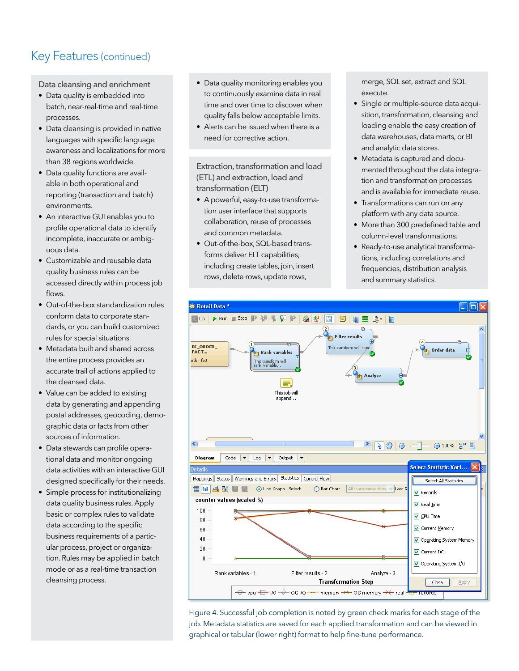Data cleansing and enrichment

- Data quality is embedded into batch, near-real-time and real-time processes.
- Data cleansing is provided in native languages with specific language awareness and localizations for more than 38 regions worldwide.
- Data quality functions are available in both operational and reporting (transaction and batch) environments.
- An interactive GUI enables you to profile operational data to identify incomplete, inaccurate or ambiguous data.
- Customizable and reusable data quality business rules can be accessed directly within process job flows
- Out-of-the-box standardization rules conform data to corporate standards, or you can build customized rules for special situations.
- Metadata built and shared across the entire process provides an accurate trail of actions applied to the cleansed data.
- Value can be added to existing data by generating and appending postal addresses, geocoding, demographic data or facts from other sources of information.
- Data stewards can profile operational data and monitor ongoing data activities with an interactive GUI designed specifically for their needs.
- Simple process for institutionalizing data quality business rules. Apply basic or complex rules to validate data according to the specific business requirements of a particular process, project or organization. Rules may be applied in batch mode or as a real-time transaction cleansing process.
- Data quality monitoring enables you to continuously examine data in real time and over time to discover when quality falls below acceptable limits.
- Alerts can be issued when there is a need for corrective action.

Extraction, transformation and load (ETL) and extraction, load and transformation (ELT)

- A powerful, easy-to-use transformation user interface that supports collaboration, reuse of processes and common metadata.
- Out-of-the-box, SQL-based transforms deliver ELT capabilities, including create tables, join, insert rows, delete rows, update rows,

merge, SQL set, extract and SQL execute.

- Single or multiple-source data acquisition, transformation, cleansing and loading enable the easy creation of data warehouses, data marts, or BI and analytic data stores.
- Metadata is captured and documented throughout the data integration and transformation processes and is available for immediate reuse.
- Transformations can run on any platform with any data source.
- More than 300 predefined table and column-level transformations.
- Ready-to-use analytical transformations, including correlations and frequencies, distribution analysis and summary statistics.



Figure 4. Successful job completion is noted by green check marks for each stage of the job. Metadata statistics are saved for each applied transformation and can be viewed in graphical or tabular (lower right) format to help fine-tune performance.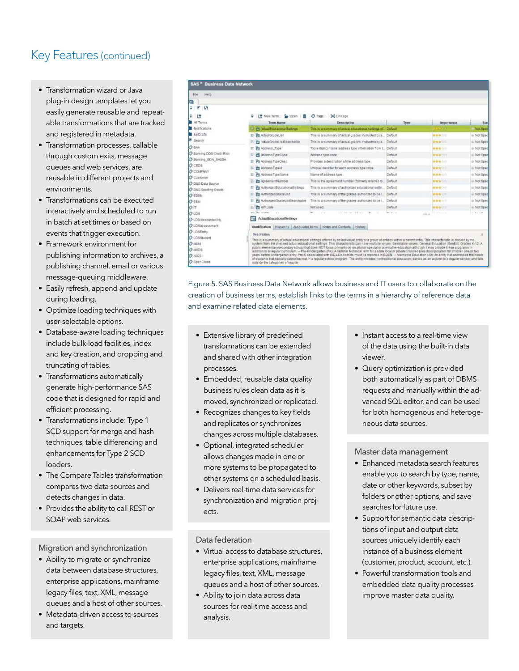- Transformation wizard or Java plug-in design templates let you easily generate reusable and repeatable transformations that are tracked and registered in metadata.
- Transformation processes, callable through custom exits, message queues and web services, are reusable in diferent projects and environments.
- Transformations can be executed interactively and scheduled to run in batch at set times or based on events that trigger execution.
- Framework environment for publishing information to archives, a publishing channel, email or various message-queuing middleware.
- Easily refresh, append and update during loading.
- Optimize loading techniques with user-selectable options.
- Database-aware loading techniques include bulk-load facilities, index and key creation, and dropping and truncating of tables.
- Transformations automatically generate high-performance SAS code that is designed for rapid and efficient processing.
- Transformations include: Type 1 SCD support for merge and hash techniques, table diferencing and enhancements for Type 2 SCD loaders.
- The Compare Tables transformation compares two data sources and detects changes in data.
- Provides the ability to call REST or SOAP web services.

Migration and synchronization

- Ability to migrate or synchronize data between database structures, enterprise applications, mainframe legacy files, text, XML, message queues and a host of other sources.
- Metadata-driven access to sources and targets.

| File<br>Help              |                                              |                                                                                                                                                                                                                                                                                                                                          |         |                          |             |
|---------------------------|----------------------------------------------|------------------------------------------------------------------------------------------------------------------------------------------------------------------------------------------------------------------------------------------------------------------------------------------------------------------------------------------|---------|--------------------------|-------------|
| o                         |                                              |                                                                                                                                                                                                                                                                                                                                          |         |                          |             |
| 平下<br>$\sim$              |                                              |                                                                                                                                                                                                                                                                                                                                          |         |                          |             |
| 로 16                      | V [* New Term Coen m O Tags 94 Lineage       |                                                                                                                                                                                                                                                                                                                                          |         |                          |             |
| All Terms                 | Term Name                                    | <b>Description</b>                                                                                                                                                                                                                                                                                                                       | Type    | <i><b>Importance</b></i> | Stat        |
| Notifications             | El <b>Pt</b> ActualEducationalSettings       | This is a summary of actual educational settings of Default                                                                                                                                                                                                                                                                              |         | <b>TERRITORY</b>         | Not Spec    |
| My Drafts                 | 田 向 ActualGradeList                          | This is a summary of actual grades instructed by a Default                                                                                                                                                                                                                                                                               |         | 金金合金                     | Wot Spec    |
| Search                    | Fa ActualOradeListSearchable                 | This is a summary of actual grades instructed by a. Default                                                                                                                                                                                                                                                                              |         | 合合向它                     | - Not Spec  |
| O BAA                     |                                              |                                                                                                                                                                                                                                                                                                                                          |         |                          |             |
| C Banking DDS Cradit Risk | <b>Pt Address</b> Type<br>田                  | Table that contains address type information from t. Default                                                                                                                                                                                                                                                                             |         | 素素含合金                    | Not Spec    |
| O Banking, BDN, SASSA     | <b>PI</b> AddressTypeCode                    | Address type code.                                                                                                                                                                                                                                                                                                                       | Default | 青青身白白                    | Not Spec    |
| $O$ CEDS                  | <b>Pa</b> Address TipeOesc<br>国              | Provides a description of the address fige.                                                                                                                                                                                                                                                                                              | Default | 安全会合作                    | @ Not Spec  |
| O COMPANY                 | <b>PT</b> Address Typeld<br>田                | Linique identifier for each address fige code.                                                                                                                                                                                                                                                                                           | Default | 音音音口口                    | Not Spec    |
| O Customer                | Ph Address TypeName<br>田                     | Name of address tipe.                                                                                                                                                                                                                                                                                                                    | Default | 青春食白白                    | Wot Spec    |
| O D&G Data Source         | Fil AgreementNumber<br>田                     | This is the agreement number clomeny referred to.                                                                                                                                                                                                                                                                                        | Default | 合金合い口                    | Not Spec    |
| O D&G Sporting Goods      | <b>FI</b> AuthorizedEducationalSettings<br>田 | This is a summary of authorized educational settin                                                                                                                                                                                                                                                                                       | Default | 金金金ごび                    | Not Spec    |
| <b>O EDEN</b>             | <b>Pn</b> AuthorizedGradeList<br>田           | This is a summary of the grades authorized to be i                                                                                                                                                                                                                                                                                       | Default | 素食会会会                    | Not Spec    |
| O EEM                     | El Fa AuthorizedGradeListSearchable          | This is a summary of the grades authorized to be i Default                                                                                                                                                                                                                                                                               |         | 素育育合作                    | Wot Spec    |
| Oπ                        | <b>PT</b> AYPDate<br>田                       | Not used.                                                                                                                                                                                                                                                                                                                                | Default | 音音音合作                    | Wot Spec    |
| $O$ LDS                   | 43                                           |                                                                                                                                                                                                                                                                                                                                          |         |                          | $-111 - 10$ |
| O LDSAcccountability      | ActualEducationalSettings<br>÷в              |                                                                                                                                                                                                                                                                                                                                          |         |                          |             |
| O LDS/osessment           | Identification Hierarchy Associated Items    | Notes and Contacts History                                                                                                                                                                                                                                                                                                               |         |                          |             |
| O LOSEntty                |                                              |                                                                                                                                                                                                                                                                                                                                          |         |                          |             |
| O LDSStudent              | Description                                  |                                                                                                                                                                                                                                                                                                                                          |         |                          | 湴           |
| O MOM                     |                                              | This is a summary of actual educational settings offered by an individual entity or a group of entities within a parent entity. This characteristic is derived by the<br>system from the checked actual educational settings. This characteristic can have multiple values. Selectable values: General Education (GenEd): Grades K-12. A |         |                          |             |
| O MSDS                    |                                              | public elementarysecondary school that does NOT focus primarily on vocational special or alternative education although it may provide these programs in<br>addition to a regular curriculum. - Pre-Kindergarten (PK): Anational technical term for a state local or privately funded preschool program for children one or two          |         |                          |             |
| <b>O</b> N029             |                                              | years before kindergarten entry. Pre-K associated with ISD/LEA districts must be reported in EDEN. - Alternative Education (Alt): An entity that addresses the needs                                                                                                                                                                     |         |                          |             |
| O OpenClose               | butside the categories of requiar            | of students that typically cannot be met in a requier school program. The entity provides nontraditional education: serves as an adjunct to a requier school; and falls                                                                                                                                                                  |         |                          |             |

Figure 5. SAS Business Data Network allows business and IT users to collaborate on the creation of business terms, establish links to the terms in a hierarchy of reference data and examine related data elements.

- Extensive library of predefined transformations can be extended and shared with other integration processes.
- Embedded, reusable data quality business rules clean data as it is moved, synchronized or replicated.
- Recognizes changes to key fields and replicates or synchronizes changes across multiple databases.
- Optional, integrated scheduler allows changes made in one or more systems to be propagated to other systems on a scheduled basis.
- Delivers real-time data services for synchronization and migration projects.

Data federation

- Virtual access to database structures, enterprise applications, mainframe legacy files, text, XML, message queues and a host of other sources.
- Ability to join data across data sources for real-time access and analysis.
- Instant access to a real-time view of the data using the built-in data viewer.
- Query optimization is provided both automatically as part of DBMS requests and manually within the advanced SQL editor, and can be used for both homogenous and heterogeneous data sources.

Master data management

- Enhanced metadata search features enable you to search by type, name, date or other keywords, subset by folders or other options, and save searches for future use.
- Support for semantic data descriptions of input and output data sources uniquely identify each instance of a business element (customer, product, account, etc.).
- Powerful transformation tools and embedded data quality processes improve master data quality.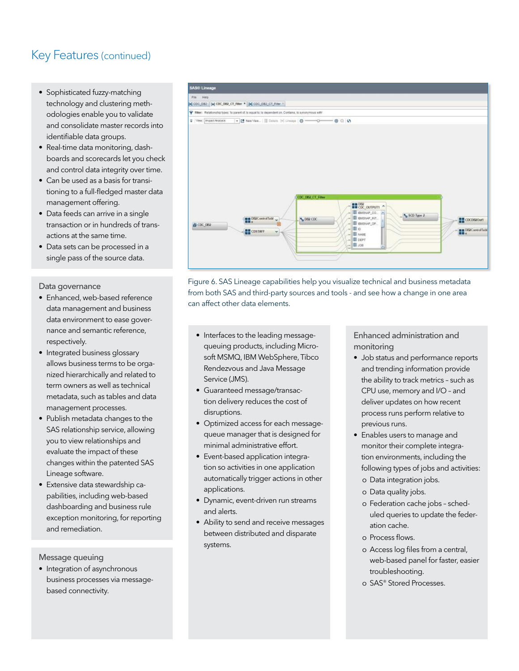- Sophisticated fuzzy-matching technology and clustering methodologies enable you to validate and consolidate master records into identifiable data groups.
- Real-time data monitoring, dashboards and scorecards let you check and control data integrity over time.
- Can be used as a basis for transitioning to a full-fledged master data management offering.
- Data feeds can arrive in a single transaction or in hundreds of transactions at the same time.
- Data sets can be processed in a single pass of the source data.

#### Data governance

- Enhanced, web-based reference data management and business data environment to ease governance and semantic reference, respectively.
- Integrated business glossary allows business terms to be organized hierarchically and related to term owners as well as technical metadata, such as tables and data management processes.
- Publish metadata changes to the SAS relationship service, allowing you to view relationships and evaluate the impact of these changes within the patented SAS Lineage software.
- Extensive data stewardship capabilities, including web-based dashboarding and business rule exception monitoring, for reporting and remediation.

Message queuing

• Integration of asynchronous business processes via messagebased connectivity.



Figure 6. SAS Lineage capabilities help you visualize technical and business metadata from both SAS and third-party sources and tools - and see how a change in one area can afect other data elements.

- Interfaces to the leading messagequeuing products, including Microsoft MSMQ, IBM WebSphere, Tibco Rendezvous and Java Message Service (JMS).
- Guaranteed message/transaction delivery reduces the cost of disruptions.
- Optimized access for each messagequeue manager that is designed for minimal administrative effort.
- Event-based application integration so activities in one application automatically trigger actions in other applications.
- Dynamic, event-driven run streams and alerts.
- Ability to send and receive messages between distributed and disparate systems.

Enhanced administration and monitoring

- Job status and performance reports and trending information provide the ability to track metrics – such as CPU use, memory and I/O – and deliver updates on how recent process runs perform relative to previous runs.
- Enables users to manage and monitor their complete integration environments, including the following types of jobs and activities:
	- о Data integration jobs.
	- о Data quality jobs.
	- о Federation cache jobs scheduled queries to update the federation cache.
	- **о** Process flows.
	- o Access log files from a central, web-based panel for faster, easier troubleshooting.
	- о SAS® Stored Processes.